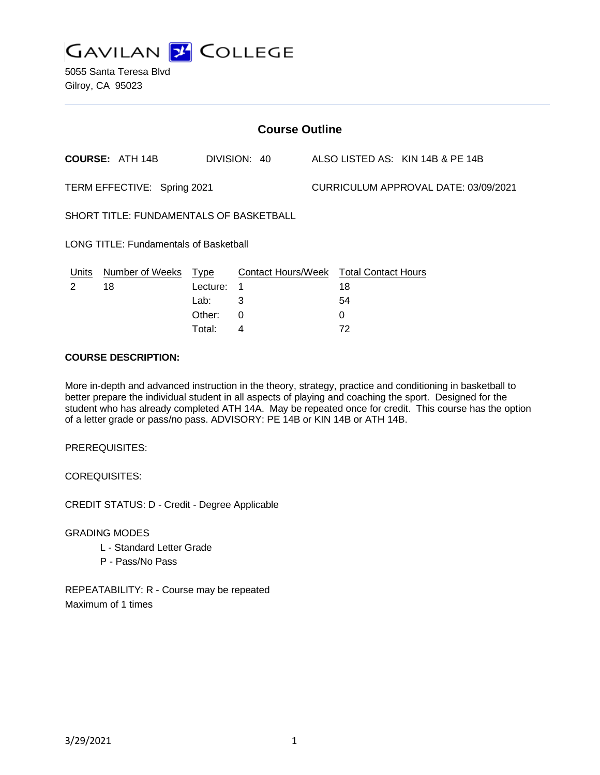

5055 Santa Teresa Blvd Gilroy, CA 95023

| <b>Course Outline</b>                         |                        |             |                                        |  |                                      |                                  |  |
|-----------------------------------------------|------------------------|-------------|----------------------------------------|--|--------------------------------------|----------------------------------|--|
|                                               | <b>COURSE: ATH 14B</b> |             | DIVISION: 40                           |  |                                      | ALSO LISTED AS: KIN 14B & PE 14B |  |
| TERM EFFECTIVE: Spring 2021                   |                        |             |                                        |  | CURRICULUM APPROVAL DATE: 03/09/2021 |                                  |  |
| SHORT TITLE: FUNDAMENTALS OF BASKETBALL       |                        |             |                                        |  |                                      |                                  |  |
| <b>LONG TITLE: Fundamentals of Basketball</b> |                        |             |                                        |  |                                      |                                  |  |
| Units                                         | Number of Weeks        | <u>Type</u> | Contact Hours/Week Total Contact Hours |  |                                      |                                  |  |
| 2                                             | 18                     | Lecture:    | 1                                      |  | 18                                   |                                  |  |
|                                               |                        | Lab:        | 3                                      |  | 54                                   |                                  |  |
|                                               |                        | Other:      | $\Omega$                               |  | 0                                    |                                  |  |
|                                               |                        | Total:      | 4                                      |  | 72                                   |                                  |  |

#### **COURSE DESCRIPTION:**

More in-depth and advanced instruction in the theory, strategy, practice and conditioning in basketball to better prepare the individual student in all aspects of playing and coaching the sport. Designed for the student who has already completed ATH 14A. May be repeated once for credit. This course has the option of a letter grade or pass/no pass. ADVISORY: PE 14B or KIN 14B or ATH 14B.

PREREQUISITES:

COREQUISITES:

CREDIT STATUS: D - Credit - Degree Applicable

GRADING MODES

- L Standard Letter Grade
- P Pass/No Pass

REPEATABILITY: R - Course may be repeated Maximum of 1 times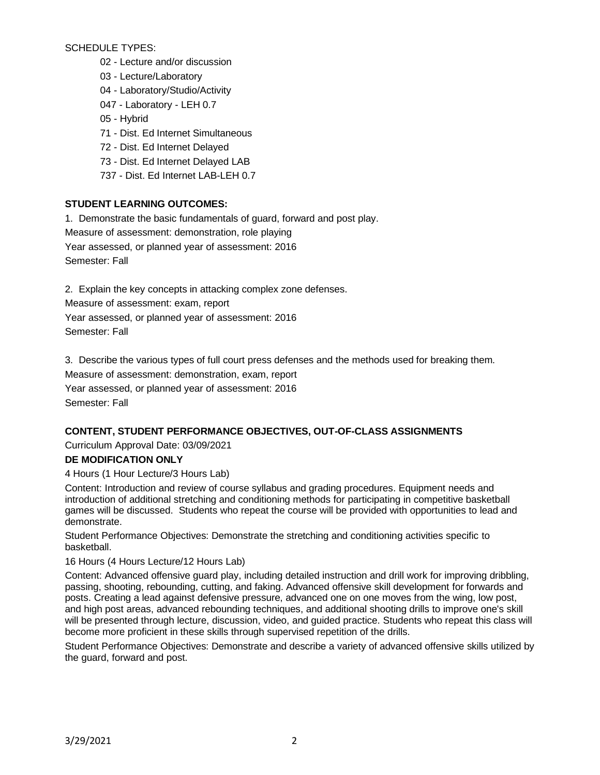SCHEDULE TYPES:

- 02 Lecture and/or discussion
- 03 Lecture/Laboratory
- 04 Laboratory/Studio/Activity
- 047 Laboratory LEH 0.7
- 05 Hybrid
- 71 Dist. Ed Internet Simultaneous
- 72 Dist. Ed Internet Delayed
- 73 Dist. Ed Internet Delayed LAB
- 737 Dist. Ed Internet LAB-LEH 0.7

# **STUDENT LEARNING OUTCOMES:**

1. Demonstrate the basic fundamentals of guard, forward and post play. Measure of assessment: demonstration, role playing Year assessed, or planned year of assessment: 2016 Semester: Fall

2. Explain the key concepts in attacking complex zone defenses.

Measure of assessment: exam, report

Year assessed, or planned year of assessment: 2016

Semester: Fall

3. Describe the various types of full court press defenses and the methods used for breaking them. Measure of assessment: demonstration, exam, report Year assessed, or planned year of assessment: 2016 Semester: Fall

## **CONTENT, STUDENT PERFORMANCE OBJECTIVES, OUT-OF-CLASS ASSIGNMENTS**

Curriculum Approval Date: 03/09/2021

## **DE MODIFICATION ONLY**

4 Hours (1 Hour Lecture/3 Hours Lab)

Content: Introduction and review of course syllabus and grading procedures. Equipment needs and introduction of additional stretching and conditioning methods for participating in competitive basketball games will be discussed. Students who repeat the course will be provided with opportunities to lead and demonstrate.

Student Performance Objectives: Demonstrate the stretching and conditioning activities specific to basketball.

16 Hours (4 Hours Lecture/12 Hours Lab)

Content: Advanced offensive guard play, including detailed instruction and drill work for improving dribbling, passing, shooting, rebounding, cutting, and faking. Advanced offensive skill development for forwards and posts. Creating a lead against defensive pressure, advanced one on one moves from the wing, low post, and high post areas, advanced rebounding techniques, and additional shooting drills to improve one's skill will be presented through lecture, discussion, video, and guided practice. Students who repeat this class will become more proficient in these skills through supervised repetition of the drills.

Student Performance Objectives: Demonstrate and describe a variety of advanced offensive skills utilized by the guard, forward and post.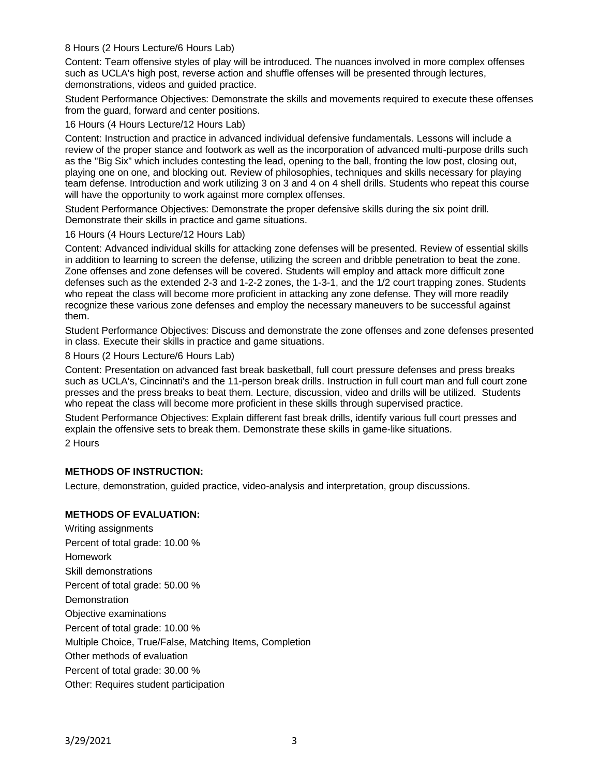#### 8 Hours (2 Hours Lecture/6 Hours Lab)

Content: Team offensive styles of play will be introduced. The nuances involved in more complex offenses such as UCLA's high post, reverse action and shuffle offenses will be presented through lectures, demonstrations, videos and guided practice.

Student Performance Objectives: Demonstrate the skills and movements required to execute these offenses from the guard, forward and center positions.

16 Hours (4 Hours Lecture/12 Hours Lab)

Content: Instruction and practice in advanced individual defensive fundamentals. Lessons will include a review of the proper stance and footwork as well as the incorporation of advanced multi-purpose drills such as the "Big Six" which includes contesting the lead, opening to the ball, fronting the low post, closing out, playing one on one, and blocking out. Review of philosophies, techniques and skills necessary for playing team defense. Introduction and work utilizing 3 on 3 and 4 on 4 shell drills. Students who repeat this course will have the opportunity to work against more complex offenses.

Student Performance Objectives: Demonstrate the proper defensive skills during the six point drill. Demonstrate their skills in practice and game situations.

16 Hours (4 Hours Lecture/12 Hours Lab)

Content: Advanced individual skills for attacking zone defenses will be presented. Review of essential skills in addition to learning to screen the defense, utilizing the screen and dribble penetration to beat the zone. Zone offenses and zone defenses will be covered. Students will employ and attack more difficult zone defenses such as the extended 2-3 and 1-2-2 zones, the 1-3-1, and the 1/2 court trapping zones. Students who repeat the class will become more proficient in attacking any zone defense. They will more readily recognize these various zone defenses and employ the necessary maneuvers to be successful against them.

Student Performance Objectives: Discuss and demonstrate the zone offenses and zone defenses presented in class. Execute their skills in practice and game situations.

8 Hours (2 Hours Lecture/6 Hours Lab)

Content: Presentation on advanced fast break basketball, full court pressure defenses and press breaks such as UCLA's, Cincinnati's and the 11-person break drills. Instruction in full court man and full court zone presses and the press breaks to beat them. Lecture, discussion, video and drills will be utilized. Students who repeat the class will become more proficient in these skills through supervised practice.

Student Performance Objectives: Explain different fast break drills, identify various full court presses and explain the offensive sets to break them. Demonstrate these skills in game-like situations.

2 Hours

## **METHODS OF INSTRUCTION:**

Lecture, demonstration, guided practice, video-analysis and interpretation, group discussions.

## **METHODS OF EVALUATION:**

Writing assignments Percent of total grade: 10.00 % Homework Skill demonstrations Percent of total grade: 50.00 % **Demonstration** Objective examinations Percent of total grade: 10.00 % Multiple Choice, True/False, Matching Items, Completion Other methods of evaluation Percent of total grade: 30.00 % Other: Requires student participation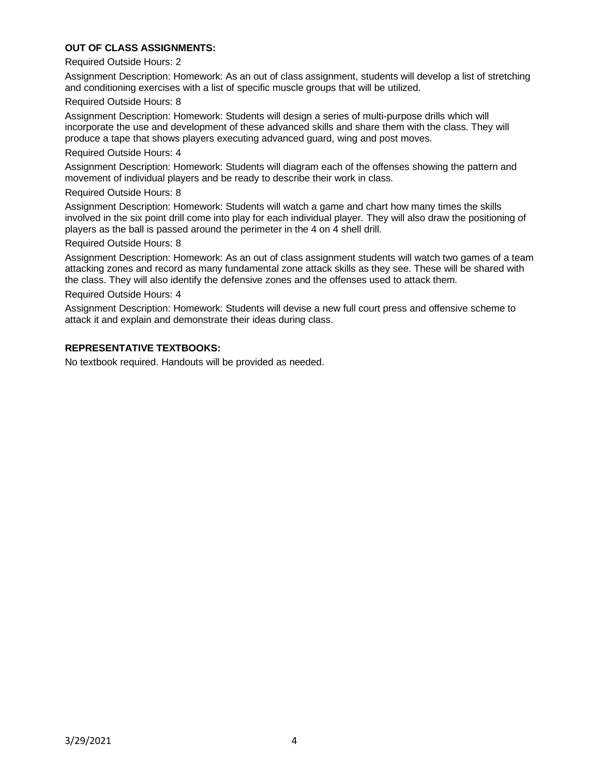## **OUT OF CLASS ASSIGNMENTS:**

#### Required Outside Hours: 2

Assignment Description: Homework: As an out of class assignment, students will develop a list of stretching and conditioning exercises with a list of specific muscle groups that will be utilized.

#### Required Outside Hours: 8

Assignment Description: Homework: Students will design a series of multi-purpose drills which will incorporate the use and development of these advanced skills and share them with the class. They will produce a tape that shows players executing advanced guard, wing and post moves.

#### Required Outside Hours: 4

Assignment Description: Homework: Students will diagram each of the offenses showing the pattern and movement of individual players and be ready to describe their work in class.

#### Required Outside Hours: 8

Assignment Description: Homework: Students will watch a game and chart how many times the skills involved in the six point drill come into play for each individual player. They will also draw the positioning of players as the ball is passed around the perimeter in the 4 on 4 shell drill.

#### Required Outside Hours: 8

Assignment Description: Homework: As an out of class assignment students will watch two games of a team attacking zones and record as many fundamental zone attack skills as they see. These will be shared with the class. They will also identify the defensive zones and the offenses used to attack them.

#### Required Outside Hours: 4

Assignment Description: Homework: Students will devise a new full court press and offensive scheme to attack it and explain and demonstrate their ideas during class.

## **REPRESENTATIVE TEXTBOOKS:**

No textbook required. Handouts will be provided as needed.